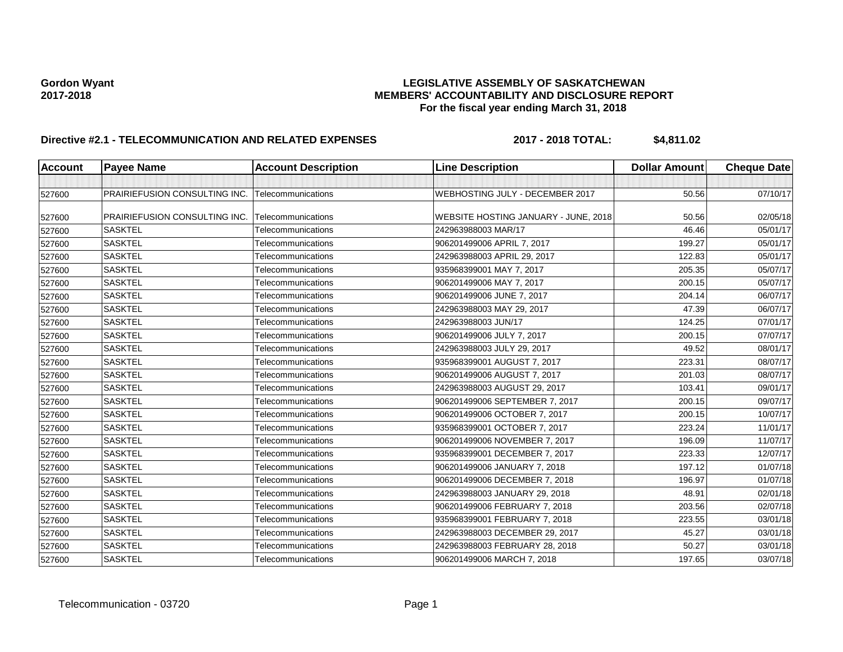# Gordon Wyant<br>LEGISLATIVE ASSEMBLY OF SASKATCHEWAN<br>MEMBERS' ACCOUNTABILITY AND DISCLOSURE REF **2017-2018 MEMBERS' ACCOUNTABILITY AND DISCLOSURE REPORT For the fiscal year ending March 31, 2018**

# **Directive #2.1 - TELECOMMUNICATION AND RELATED EXPENSES 2017 - 2018 TOTAL: \$4,811.02**

| Account | <b>Payee Name</b>                    | <b>Account Description</b> | <b>Line Description</b>              | <b>Dollar Amount</b> | <b>Cheque Date</b> |
|---------|--------------------------------------|----------------------------|--------------------------------------|----------------------|--------------------|
|         |                                      |                            |                                      |                      |                    |
| 527600  | PRAIRIEFUSION CONSULTING INC.        | <b>Telecommunications</b>  | WEBHOSTING JULY - DECEMBER 2017      | 50.56                | 07/10/17           |
| 527600  | <b>PRAIRIEFUSION CONSULTING INC.</b> | Telecommunications         | WEBSITE HOSTING JANUARY - JUNE, 2018 | 50.56                | 02/05/18           |
| 527600  | <b>SASKTEL</b>                       | Telecommunications         | 242963988003 MAR/17                  | 46.46                | 05/01/17           |
| 527600  | <b>SASKTEL</b>                       | Telecommunications         | 906201499006 APRIL 7, 2017           | 199.27               | 05/01/17           |
| 527600  | <b>SASKTEL</b>                       | Telecommunications         | 242963988003 APRIL 29, 2017          | 122.83               | 05/01/17           |
| 527600  | <b>SASKTEL</b>                       | Telecommunications         | 935968399001 MAY 7, 2017             | 205.35               | 05/07/17           |
| 527600  | <b>SASKTEL</b>                       | Telecommunications         | 906201499006 MAY 7, 2017             | 200.15               | 05/07/17           |
| 527600  | <b>SASKTEL</b>                       | Telecommunications         | 906201499006 JUNE 7, 2017            | 204.14               | 06/07/17           |
| 527600  | <b>SASKTEL</b>                       | Telecommunications         | 242963988003 MAY 29, 2017            | 47.39                | 06/07/17           |
| 527600  | <b>SASKTEL</b>                       | Telecommunications         | 242963988003 JUN/17                  | 124.25               | 07/01/17           |
| 527600  | <b>SASKTEL</b>                       | Telecommunications         | 906201499006 JULY 7, 2017            | 200.15               | 07/07/17           |
| 527600  | <b>SASKTEL</b>                       | Telecommunications         | 242963988003 JULY 29, 2017           | 49.52                | 08/01/17           |
| 527600  | <b>SASKTEL</b>                       | Telecommunications         | 935968399001 AUGUST 7, 2017          | 223.31               | 08/07/17           |
| 527600  | <b>SASKTEL</b>                       | Telecommunications         | 906201499006 AUGUST 7, 2017          | 201.03               | 08/07/17           |
| 527600  | <b>SASKTEL</b>                       | Telecommunications         | 242963988003 AUGUST 29, 2017         | 103.41               | 09/01/17           |
| 527600  | <b>SASKTEL</b>                       | Telecommunications         | 906201499006 SEPTEMBER 7, 2017       | 200.15               | 09/07/17           |
| 527600  | <b>SASKTEL</b>                       | Telecommunications         | 906201499006 OCTOBER 7, 2017         | 200.15               | 10/07/17           |
| 527600  | <b>SASKTEL</b>                       | Telecommunications         | 935968399001 OCTOBER 7, 2017         | 223.24               | 11/01/17           |
| 527600  | <b>SASKTEL</b>                       | Telecommunications         | 906201499006 NOVEMBER 7, 2017        | 196.09               | 11/07/17           |
| 527600  | <b>SASKTEL</b>                       | Telecommunications         | 935968399001 DECEMBER 7, 2017        | 223.33               | 12/07/17           |
| 527600  | <b>SASKTEL</b>                       | Telecommunications         | 906201499006 JANUARY 7, 2018         | 197.12               | 01/07/18           |
| 527600  | <b>SASKTEL</b>                       | Telecommunications         | 906201499006 DECEMBER 7, 2018        | 196.97               | 01/07/18           |
| 527600  | <b>SASKTEL</b>                       | Telecommunications         | 242963988003 JANUARY 29, 2018        | 48.91                | 02/01/18           |
| 527600  | <b>SASKTEL</b>                       | Telecommunications         | 906201499006 FEBRUARY 7, 2018        | 203.56               | 02/07/18           |
| 527600  | <b>SASKTEL</b>                       | Telecommunications         | 935968399001 FEBRUARY 7, 2018        | 223.55               | 03/01/18           |
| 527600  | <b>SASKTEL</b>                       | Telecommunications         | 242963988003 DECEMBER 29, 2017       | 45.27                | 03/01/18           |
| 527600  | <b>SASKTEL</b>                       | Telecommunications         | 242963988003 FEBRUARY 28, 2018       | 50.27                | 03/01/18           |
| 527600  | <b>SASKTEL</b>                       | Telecommunications         | 906201499006 MARCH 7, 2018           | 197.65               | 03/07/18           |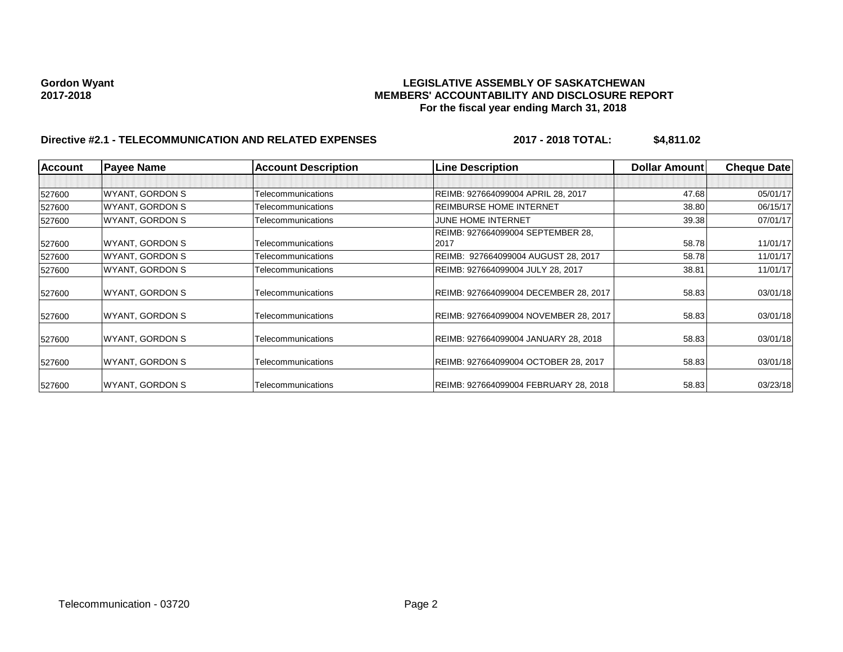# Gordon Wyant<br>LEGISLATIVE ASSEMBLY OF SASKATCHEWAN<br>MEMBERS' ACCOUNTABILITY AND DISCLOSURE REF **2017-2018 MEMBERS' ACCOUNTABILITY AND DISCLOSURE REPORT For the fiscal year ending March 31, 2018**

# **Directive #2.1 - TELECOMMUNICATION AND RELATED EXPENSES 2017 - 2018 TOTAL: \$4,811.02**

| <b>Account</b> | <b>Payee Name</b>      | <b>Account Description</b> | <b>Line Description</b>               | <b>Dollar Amountl</b> | <b>Cheque Date</b> |
|----------------|------------------------|----------------------------|---------------------------------------|-----------------------|--------------------|
|                |                        |                            |                                       |                       |                    |
| 527600         | <b>WYANT, GORDON S</b> | Telecommunications         | REIMB: 927664099004 APRIL 28, 2017    | 47.68                 | 05/01/17           |
| 527600         | WYANT, GORDON S        | Telecommunications         | <b>REIMBURSE HOME INTERNET</b>        | 38.80                 | 06/15/17           |
| 527600         | <b>WYANT, GORDON S</b> | Telecommunications         | JUNE HOME INTERNET                    | 39.38                 | 07/01/17           |
|                |                        |                            | REIMB: 927664099004 SEPTEMBER 28,     |                       |                    |
| 527600         | <b>WYANT, GORDON S</b> | Telecommunications         | 2017                                  | 58.78                 | 11/01/17           |
| 527600         | WYANT, GORDON S        | Telecommunications         | REIMB: 927664099004 AUGUST 28, 2017   | 58.78                 | 11/01/17           |
| 527600         | <b>WYANT, GORDON S</b> | Telecommunications         | REIMB: 927664099004 JULY 28, 2017     | 38.81                 | 11/01/17           |
| 527600         | WYANT, GORDON S        | Telecommunications         | REIMB: 927664099004 DECEMBER 28, 2017 | 58.83                 | 03/01/18           |
| 527600         | WYANT, GORDON S        | Telecommunications         | REIMB: 927664099004 NOVEMBER 28, 2017 | 58.83                 | 03/01/18           |
| 527600         | <b>WYANT, GORDON S</b> | Telecommunications         | REIMB: 927664099004 JANUARY 28, 2018  | 58.83                 | 03/01/18           |
| 527600         | WYANT, GORDON S        | Telecommunications         | REIMB: 927664099004 OCTOBER 28, 2017  | 58.83                 | 03/01/18           |
| 527600         | <b>WYANT, GORDON S</b> | Telecommunications         | REIMB: 927664099004 FEBRUARY 28, 2018 | 58.83                 | 03/23/18           |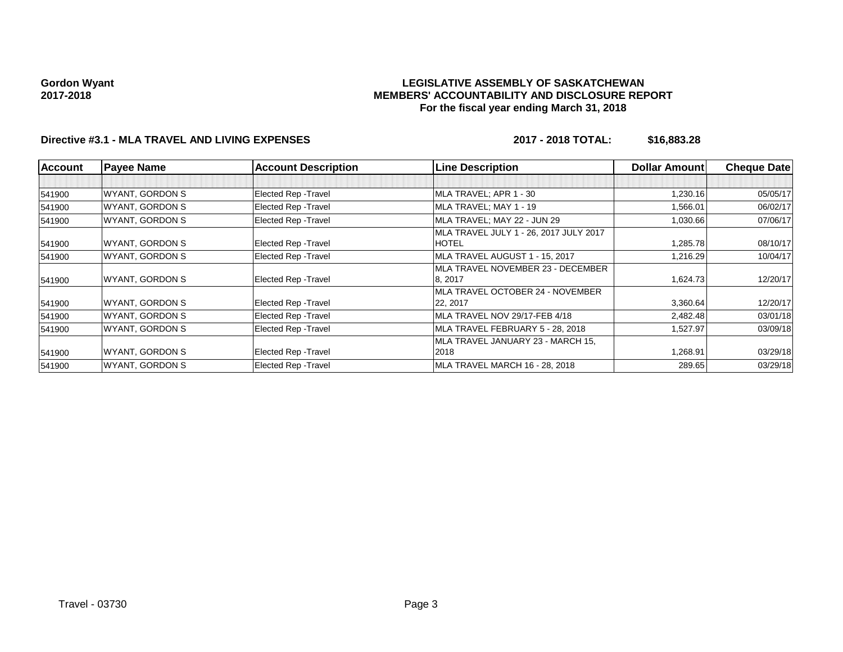#### **LEGISLATIVE ASSEMBLY OF SASKATCHEWAN MEMBERS' ACCOUNTABILITY AND DISCLOSURE REPORT For the fiscal year ending March 31, 2018**

## **Directive #3.1 - MLA TRAVEL AND LIVING EXPENSES 2017 - 2018 TOTAL: \$16,883.28**

| <b>Account</b> | <b>Payee Name</b>      | <b>Account Description</b>  | <b>Line Description</b>                | <b>Dollar Amount</b> | <b>Cheque Date</b> |
|----------------|------------------------|-----------------------------|----------------------------------------|----------------------|--------------------|
|                |                        |                             |                                        |                      |                    |
| 541900         | <b>WYANT, GORDON S</b> | <b>Elected Rep - Travel</b> | MLA TRAVEL; APR 1 - 30                 | 1,230.16             | 05/05/17           |
| 541900         | WYANT, GORDON S        | <b>Elected Rep - Travel</b> | MLA TRAVEL: MAY 1 - 19                 | 1,566.01             | 06/02/17           |
| 541900         | <b>WYANT, GORDON S</b> | <b>Elected Rep - Travel</b> | MLA TRAVEL; MAY 22 - JUN 29            | 1,030.66             | 07/06/17           |
|                |                        |                             | MLA TRAVEL JULY 1 - 26, 2017 JULY 2017 |                      |                    |
| 541900         | WYANT, GORDON S        | Elected Rep - Travel        | <b>HOTEL</b>                           | 1,285.78             | 08/10/17           |
| 541900         | WYANT, GORDON S        | <b>Elected Rep - Travel</b> | MLA TRAVEL AUGUST 1 - 15, 2017         | 1,216.29             | 10/04/17           |
|                |                        |                             | MLA TRAVEL NOVEMBER 23 - DECEMBER      |                      |                    |
| 541900         | WYANT, GORDON S        | <b>Elected Rep - Travel</b> | 8, 2017                                | 1,624.73             | 12/20/17           |
|                |                        |                             | MLA TRAVEL OCTOBER 24 - NOVEMBER       |                      |                    |
| 541900         | WYANT, GORDON S        | <b>Elected Rep - Travel</b> | 22, 2017                               | 3,360.64             | 12/20/17           |
| 541900         | <b>WYANT, GORDON S</b> | <b>Elected Rep - Travel</b> | MLA TRAVEL NOV 29/17-FEB 4/18          | 2,482.48             | 03/01/18           |
| 541900         | <b>WYANT, GORDON S</b> | <b>Elected Rep - Travel</b> | MLA TRAVEL FEBRUARY 5 - 28, 2018       | 1,527.97             | 03/09/18           |
|                |                        |                             | MLA TRAVEL JANUARY 23 - MARCH 15,      |                      |                    |
| 541900         | WYANT, GORDON S        | <b>Elected Rep - Travel</b> | 2018                                   | 1,268.91             | 03/29/18           |
| 541900         | <b>WYANT, GORDON S</b> | <b>Elected Rep - Travel</b> | MLA TRAVEL MARCH 16 - 28, 2018         | 289.65               | 03/29/18           |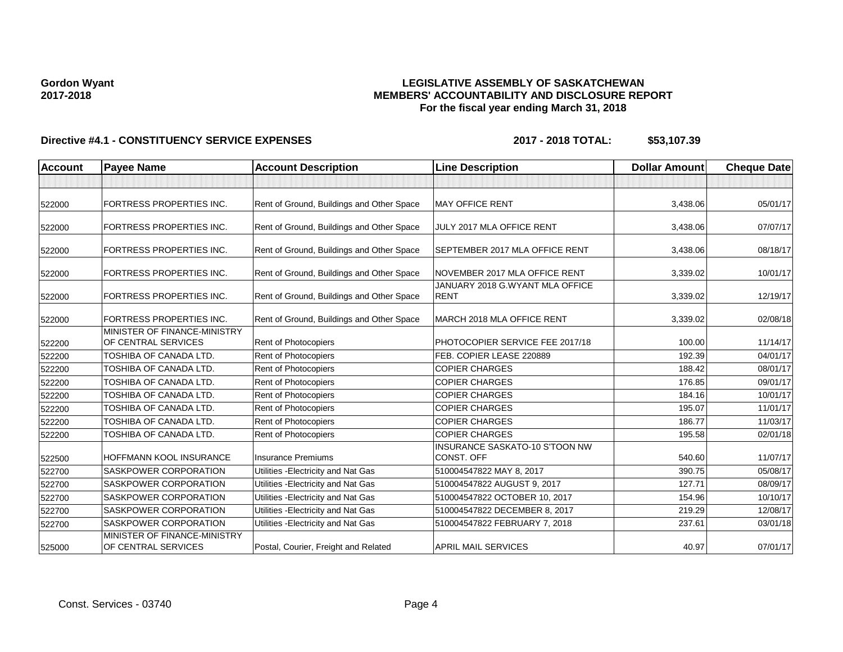### **LEGISLATIVE ASSEMBLY OF SASKATCHEWAN MEMBERS' ACCOUNTABILITY AND DISCLOSURE REPORT For the fiscal year ending March 31, 2018**

| Account | <b>Payee Name</b>                                   | <b>Account Description</b>                | <b>Line Description</b>                             | <b>Dollar Amount</b> | <b>Cheque Date</b> |
|---------|-----------------------------------------------------|-------------------------------------------|-----------------------------------------------------|----------------------|--------------------|
|         |                                                     |                                           |                                                     |                      |                    |
| 522000  | FORTRESS PROPERTIES INC.                            | Rent of Ground, Buildings and Other Space | <b>MAY OFFICE RENT</b>                              | 3,438.06             | 05/01/17           |
| 522000  | FORTRESS PROPERTIES INC.                            | Rent of Ground, Buildings and Other Space | JULY 2017 MLA OFFICE RENT                           | 3,438.06             | 07/07/17           |
| 522000  | FORTRESS PROPERTIES INC.                            | Rent of Ground, Buildings and Other Space | SEPTEMBER 2017 MLA OFFICE RENT                      | 3,438.06             | 08/18/17           |
| 522000  | FORTRESS PROPERTIES INC.                            | Rent of Ground, Buildings and Other Space | NOVEMBER 2017 MLA OFFICE RENT                       | 3,339.02             | 10/01/17           |
| 522000  | FORTRESS PROPERTIES INC.                            | Rent of Ground, Buildings and Other Space | JANUARY 2018 G.WYANT MLA OFFICE<br><b>RENT</b>      | 3,339.02             | 12/19/17           |
| 522000  | FORTRESS PROPERTIES INC.                            | Rent of Ground, Buildings and Other Space | MARCH 2018 MLA OFFICE RENT                          | 3,339.02             | 02/08/18           |
| 522200  | MINISTER OF FINANCE-MINISTRY<br>OF CENTRAL SERVICES | Rent of Photocopiers                      | PHOTOCOPIER SERVICE FEE 2017/18                     | 100.00               | 11/14/17           |
| 522200  | TOSHIBA OF CANADA LTD.                              | Rent of Photocopiers                      | FEB. COPIER LEASE 220889                            | 192.39               | 04/01/17           |
| 522200  | TOSHIBA OF CANADA LTD.                              | Rent of Photocopiers                      | <b>COPIER CHARGES</b>                               | 188.42               | 08/01/17           |
| 522200  | TOSHIBA OF CANADA LTD.                              | Rent of Photocopiers                      | <b>COPIER CHARGES</b>                               | 176.85               | 09/01/17           |
| 522200  | TOSHIBA OF CANADA LTD.                              | Rent of Photocopiers                      | <b>COPIER CHARGES</b>                               | 184.16               | 10/01/17           |
| 522200  | TOSHIBA OF CANADA LTD.                              | Rent of Photocopiers                      | <b>COPIER CHARGES</b>                               | 195.07               | 11/01/17           |
| 522200  | TOSHIBA OF CANADA LTD.                              | Rent of Photocopiers                      | <b>COPIER CHARGES</b>                               | 186.77               | 11/03/17           |
| 522200  | TOSHIBA OF CANADA LTD.                              | Rent of Photocopiers                      | <b>COPIER CHARGES</b>                               | 195.58               | 02/01/18           |
| 522500  | HOFFMANN KOOL INSURANCE                             | <b>Insurance Premiums</b>                 | <b>INSURANCE SASKATO-10 S'TOON NW</b><br>CONST. OFF | 540.60               | 11/07/17           |
| 522700  | SASKPOWER CORPORATION                               | Utilities - Electricity and Nat Gas       | 510004547822 MAY 8, 2017                            | 390.75               | 05/08/17           |
| 522700  | SASKPOWER CORPORATION                               | Utilities - Electricity and Nat Gas       | 510004547822 AUGUST 9, 2017                         | 127.71               | 08/09/17           |
| 522700  | SASKPOWER CORPORATION                               | Utilities - Electricity and Nat Gas       | 510004547822 OCTOBER 10, 2017                       | 154.96               | 10/10/17           |
| 522700  | SASKPOWER CORPORATION                               | Utilities - Electricity and Nat Gas       | 510004547822 DECEMBER 8, 2017                       | 219.29               | 12/08/17           |
| 522700  | SASKPOWER CORPORATION                               | Utilities - Electricity and Nat Gas       | 510004547822 FEBRUARY 7, 2018                       | 237.61               | 03/01/18           |
| 525000  | MINISTER OF FINANCE-MINISTRY<br>OF CENTRAL SERVICES | Postal, Courier, Freight and Related      | <b>APRIL MAIL SERVICES</b>                          | 40.97                | 07/01/17           |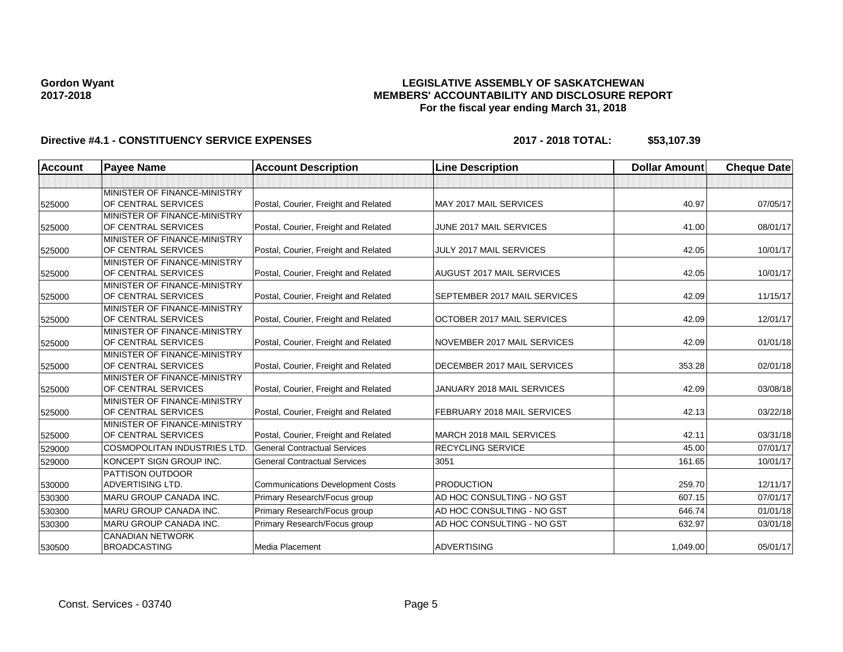### **LEGISLATIVE ASSEMBLY OF SASKATCHEWAN MEMBERS' ACCOUNTABILITY AND DISCLOSURE REPORT For the fiscal year ending March 31, 2018**

| <b>Account</b> | <b>Payee Name</b>             | <b>Account Description</b>              | <b>Line Description</b>          | <b>Dollar Amount</b> | <b>Cheque Date</b> |
|----------------|-------------------------------|-----------------------------------------|----------------------------------|----------------------|--------------------|
|                |                               |                                         |                                  |                      |                    |
|                | MINISTER OF FINANCE-MINISTRY  |                                         |                                  |                      |                    |
| 525000         | OF CENTRAL SERVICES           | Postal, Courier, Freight and Related    | <b>MAY 2017 MAIL SERVICES</b>    | 40.97                | 07/05/17           |
|                | MINISTER OF FINANCE-MINISTRY  |                                         |                                  |                      |                    |
| 525000         | OF CENTRAL SERVICES           | Postal, Courier, Freight and Related    | JUNE 2017 MAIL SERVICES          | 41.00                | 08/01/17           |
|                | MINISTER OF FINANCE-MINISTRY  |                                         |                                  |                      |                    |
| 525000         | OF CENTRAL SERVICES           | Postal, Courier, Freight and Related    | <b>JULY 2017 MAIL SERVICES</b>   | 42.05                | 10/01/17           |
|                | MINISTER OF FINANCE-MINISTRY  |                                         |                                  |                      |                    |
| 525000         | OF CENTRAL SERVICES           | Postal, Courier, Freight and Related    | <b>AUGUST 2017 MAIL SERVICES</b> | 42.05                | 10/01/17           |
|                | MINISTER OF FINANCE-MINISTRY  |                                         |                                  |                      |                    |
| 525000         | OF CENTRAL SERVICES           | Postal, Courier, Freight and Related    | SEPTEMBER 2017 MAIL SERVICES     | 42.09                | 11/15/17           |
|                | MINISTER OF FINANCE-MINISTRY  |                                         |                                  |                      |                    |
| 525000         | OF CENTRAL SERVICES           | Postal, Courier, Freight and Related    | OCTOBER 2017 MAIL SERVICES       | 42.09                | 12/01/17           |
|                | MINISTER OF FINANCE-MINISTRY  |                                         |                                  |                      |                    |
| 525000         | OF CENTRAL SERVICES           | Postal, Courier, Freight and Related    | NOVEMBER 2017 MAIL SERVICES      | 42.09                | 01/01/18           |
|                | MINISTER OF FINANCE-MINISTRY  |                                         |                                  |                      |                    |
| 525000         | OF CENTRAL SERVICES           | Postal, Courier, Freight and Related    | DECEMBER 2017 MAIL SERVICES      | 353.28               | 02/01/18           |
|                | MINISTER OF FINANCE-MINISTRY  |                                         |                                  |                      |                    |
| 525000         | OF CENTRAL SERVICES           | Postal, Courier, Freight and Related    | JANUARY 2018 MAIL SERVICES       | 42.09                | 03/08/18           |
|                | MINISTER OF FINANCE-MINISTRY  |                                         |                                  |                      |                    |
| 525000         | OF CENTRAL SERVICES           | Postal, Courier, Freight and Related    | FEBRUARY 2018 MAIL SERVICES      | 42.13                | 03/22/18           |
|                | MINISTER OF FINANCE-MINISTRY  |                                         | MARCH 2018 MAIL SERVICES         | 42.11                | 03/31/18           |
| 525000         | OF CENTRAL SERVICES           | Postal, Courier, Freight and Related    |                                  |                      |                    |
| 529000         | COSMOPOLITAN INDUSTRIES LTD.  | <b>General Contractual Services</b>     | RECYCLING SERVICE                | 45.00                | 07/01/17           |
| 529000         | KONCEPT SIGN GROUP INC.       | <b>General Contractual Services</b>     | 3051                             | 161.65               | 10/01/17           |
|                | <b>PATTISON OUTDOOR</b>       |                                         |                                  |                      |                    |
| 530000         | <b>ADVERTISING LTD.</b>       | <b>Communications Development Costs</b> | <b>PRODUCTION</b>                | 259.70               | 12/11/17           |
| 530300         | MARU GROUP CANADA INC.        | Primary Research/Focus group            | AD HOC CONSULTING - NO GST       | 607.15               | 07/01/17           |
| 530300         | <b>MARU GROUP CANADA INC.</b> | Primary Research/Focus group            | AD HOC CONSULTING - NO GST       | 646.74               | 01/01/18           |
| 530300         | <b>MARU GROUP CANADA INC.</b> | Primary Research/Focus group            | AD HOC CONSULTING - NO GST       | 632.97               | 03/01/18           |
|                | <b>CANADIAN NETWORK</b>       |                                         |                                  |                      |                    |
| 530500         | <b>BROADCASTING</b>           | Media Placement                         | <b>ADVERTISING</b>               | 1,049.00             | 05/01/17           |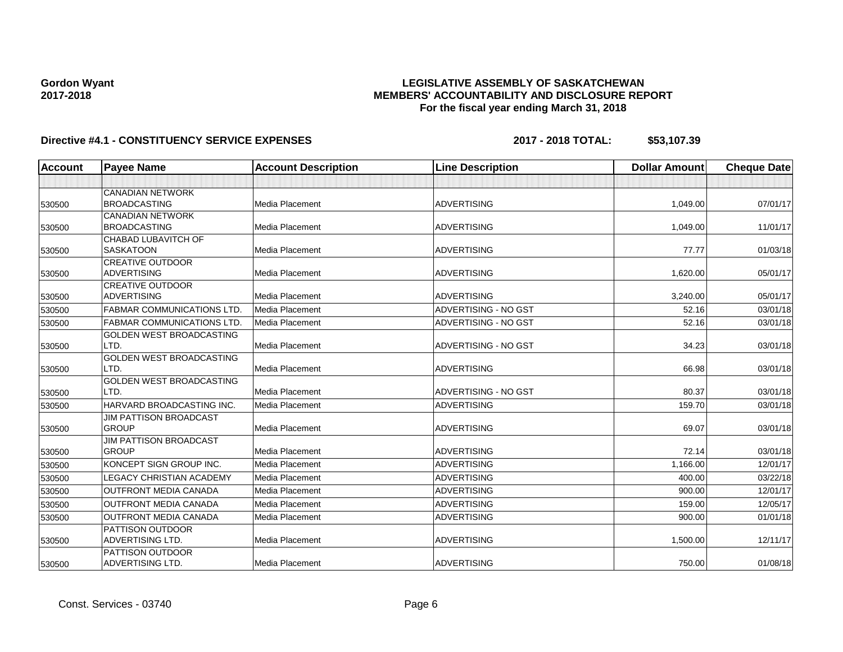### **LEGISLATIVE ASSEMBLY OF SASKATCHEWAN MEMBERS' ACCOUNTABILITY AND DISCLOSURE REPORT For the fiscal year ending March 31, 2018**

| <b>Account</b> | <b>Payee Name</b>                | <b>Account Description</b> | <b>Line Description</b>     | <b>Dollar Amount</b> | <b>Cheque Date</b> |
|----------------|----------------------------------|----------------------------|-----------------------------|----------------------|--------------------|
|                |                                  |                            |                             |                      |                    |
|                | <b>CANADIAN NETWORK</b>          |                            |                             |                      |                    |
| 530500         | <b>BROADCASTING</b>              | Media Placement            | <b>ADVERTISING</b>          | 1,049.00             | 07/01/17           |
|                | <b>CANADIAN NETWORK</b>          |                            |                             |                      |                    |
| 530500         | <b>BROADCASTING</b>              | Media Placement            | <b>ADVERTISING</b>          | 1,049.00             | 11/01/17           |
|                | CHABAD LUBAVITCH OF              |                            |                             |                      |                    |
| 530500         | <b>SASKATOON</b>                 | <b>Media Placement</b>     | <b>ADVERTISING</b>          | 77.77                | 01/03/18           |
|                | <b>CREATIVE OUTDOOR</b>          |                            |                             |                      |                    |
| 530500         | <b>ADVERTISING</b>               | <b>Media Placement</b>     | <b>ADVERTISING</b>          | 1,620.00             | 05/01/17           |
|                | <b>CREATIVE OUTDOOR</b>          |                            |                             |                      |                    |
| 530500         | <b>ADVERTISING</b>               | Media Placement            | <b>ADVERTISING</b>          | 3,240.00             | 05/01/17           |
| 530500         | <b>FABMAR COMMUNICATIONS LTD</b> | Media Placement            | <b>ADVERTISING - NO GST</b> | 52.16                | 03/01/18           |
| 530500         | <b>FABMAR COMMUNICATIONS LTD</b> | Media Placement            | ADVERTISING - NO GST        | 52.16                | 03/01/18           |
|                | GOLDEN WEST BROADCASTING         |                            |                             |                      |                    |
| 530500         | LTD.                             | <b>Media Placement</b>     | ADVERTISING - NO GST        | 34.23                | 03/01/18           |
|                | GOLDEN WEST BROADCASTING         |                            |                             |                      |                    |
| 530500         | LTD.                             | Media Placement            | <b>ADVERTISING</b>          | 66.98                | 03/01/18           |
|                | GOLDEN WEST BROADCASTING         |                            |                             |                      |                    |
| 530500         | LTD.                             | Media Placement            | ADVERTISING - NO GST        | 80.37                | 03/01/18           |
| 530500         | HARVARD BROADCASTING INC.        | Media Placement            | <b>ADVERTISING</b>          | 159.70               | 03/01/18           |
|                | <b>JIM PATTISON BROADCAST</b>    |                            |                             |                      |                    |
| 530500         | <b>GROUP</b>                     | Media Placement            | ADVERTISING                 | 69.07                | 03/01/18           |
|                | <b>JIM PATTISON BROADCAST</b>    |                            |                             |                      |                    |
| 530500         | <b>GROUP</b>                     | Media Placement            | <b>ADVERTISING</b>          | 72.14                | 03/01/18           |
| 530500         | KONCEPT SIGN GROUP INC.          | Media Placement            | <b>ADVERTISING</b>          | 1,166.00             | 12/01/17           |
| 530500         | <b>LEGACY CHRISTIAN ACADEMY</b>  | Media Placement            | <b>ADVERTISING</b>          | 400.00               | 03/22/18           |
| 530500         | <b>OUTFRONT MEDIA CANADA</b>     | Media Placement            | <b>ADVERTISING</b>          | 900.00               | 12/01/17           |
| 530500         | <b>OUTFRONT MEDIA CANADA</b>     | Media Placement            | <b>ADVERTISING</b>          | 159.00               | 12/05/17           |
| 530500         | <b>OUTFRONT MEDIA CANADA</b>     | <b>Media Placement</b>     | <b>ADVERTISING</b>          | 900.00               | 01/01/18           |
|                | <b>PATTISON OUTDOOR</b>          |                            |                             |                      |                    |
| 530500         | <b>ADVERTISING LTD.</b>          | Media Placement            | <b>ADVERTISING</b>          | 1,500.00             | 12/11/17           |
|                | <b>PATTISON OUTDOOR</b>          |                            |                             |                      |                    |
| 530500         | ADVERTISING LTD.                 | Media Placement            | <b>ADVERTISING</b>          | 750.00               | 01/08/18           |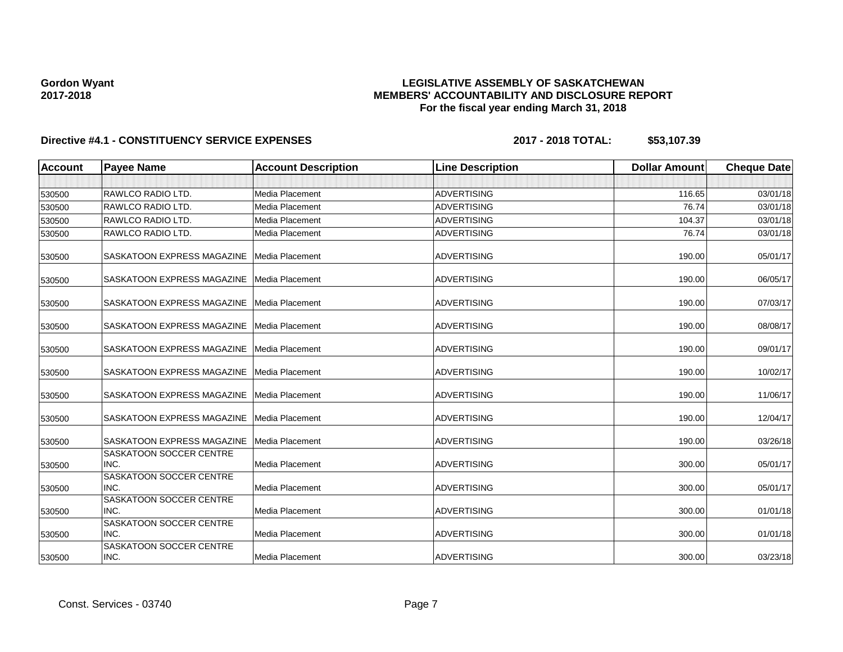### **LEGISLATIVE ASSEMBLY OF SASKATCHEWAN MEMBERS' ACCOUNTABILITY AND DISCLOSURE REPORT For the fiscal year ending March 31, 2018**

| <b>Account</b> | <b>Payee Name</b>                            | <b>Account Description</b> | <b>Line Description</b> | <b>Dollar Amount</b> | <b>Cheque Date</b> |
|----------------|----------------------------------------------|----------------------------|-------------------------|----------------------|--------------------|
|                |                                              |                            |                         |                      |                    |
| 530500         | <b>RAWLCO RADIO LTD.</b>                     | Media Placement            | <b>ADVERTISING</b>      | 116.65               | 03/01/18           |
| 530500         | <b>RAWLCO RADIO LTD.</b>                     | Media Placement            | <b>ADVERTISING</b>      | 76.74                | 03/01/18           |
| 530500         | <b>RAWLCO RADIO LTD.</b>                     | Media Placement            | <b>ADVERTISING</b>      | 104.37               | 03/01/18           |
| 530500         | RAWLCO RADIO LTD.                            | Media Placement            | <b>ADVERTISING</b>      | 76.74                | 03/01/18           |
| 530500         | <b>SASKATOON EXPRESS MAGAZINE</b>            | Media Placement            | <b>ADVERTISING</b>      | 190.00               | 05/01/17           |
| 530500         | <b>SASKATOON EXPRESS MAGAZINE</b>            | Media Placement            | <b>ADVERTISING</b>      | 190.00               | 06/05/17           |
| 530500         | <b>SASKATOON EXPRESS MAGAZINE</b>            | Media Placement            | <b>ADVERTISING</b>      | 190.00               | 07/03/17           |
| 530500         | SASKATOON EXPRESS MAGAZINE                   | Media Placement            | <b>ADVERTISING</b>      | 190.00               | 08/08/17           |
| 530500         | SASKATOON EXPRESS MAGAZINE Media Placement   |                            | <b>ADVERTISING</b>      | 190.00               | 09/01/17           |
| 530500         | SASKATOON EXPRESS MAGAZINE                   | Media Placement            | <b>ADVERTISING</b>      | 190.00               | 10/02/17           |
| 530500         | SASKATOON EXPRESS MAGAZINE   Media Placement |                            | <b>ADVERTISING</b>      | 190.00               | 11/06/17           |
| 530500         | <b>SASKATOON EXPRESS MAGAZINE</b>            | Media Placement            | <b>ADVERTISING</b>      | 190.00               | 12/04/17           |
| 530500         | SASKATOON EXPRESS MAGAZINE                   | Media Placement            | <b>ADVERTISING</b>      | 190.00               | 03/26/18           |
| 530500         | <b>SASKATOON SOCCER CENTRE</b><br>INC.       | <b>Media Placement</b>     | <b>ADVERTISING</b>      | 300.00               | 05/01/17           |
| 530500         | <b>SASKATOON SOCCER CENTRE</b><br>INC.       | <b>Media Placement</b>     | <b>ADVERTISING</b>      | 300.00               | 05/01/17           |
| 530500         | <b>SASKATOON SOCCER CENTRE</b><br>INC.       | <b>Media Placement</b>     | <b>ADVERTISING</b>      | 300.00               | 01/01/18           |
| 530500         | <b>SASKATOON SOCCER CENTRE</b><br>INC.       | <b>Media Placement</b>     | <b>ADVERTISING</b>      | 300.00               | 01/01/18           |
| 530500         | <b>SASKATOON SOCCER CENTRE</b><br>INC.       | Media Placement            | <b>ADVERTISING</b>      | 300.00               | 03/23/18           |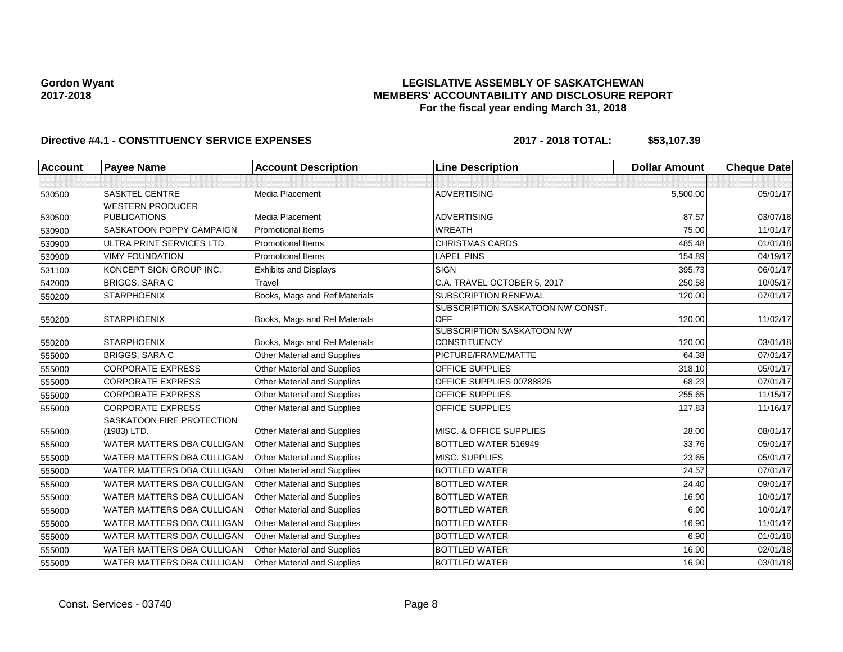### **LEGISLATIVE ASSEMBLY OF SASKATCHEWAN MEMBERS' ACCOUNTABILITY AND DISCLOSURE REPORT For the fiscal year ending March 31, 2018**

| <b>Account</b> | <b>Payee Name</b>                        | <b>Account Description</b>         | <b>Line Description</b>                          | <b>Dollar Amount</b> | <b>Cheque Date</b> |
|----------------|------------------------------------------|------------------------------------|--------------------------------------------------|----------------------|--------------------|
|                |                                          |                                    |                                                  |                      |                    |
| 530500         | <b>SASKTEL CENTRE</b>                    | Media Placement                    | <b>ADVERTISING</b>                               | 5,500.00             | 05/01/17           |
|                | <b>WESTERN PRODUCER</b>                  |                                    |                                                  |                      |                    |
| 530500         | <b>PUBLICATIONS</b>                      | <b>Media Placement</b>             | <b>ADVERTISING</b>                               | 87.57                | 03/07/18           |
| 530900         | SASKATOON POPPY CAMPAIGN                 | <b>Promotional Items</b>           | <b>WREATH</b>                                    | 75.00                | 11/01/17           |
| 530900         | ULTRA PRINT SERVICES LTD.                | <b>Promotional Items</b>           | <b>CHRISTMAS CARDS</b>                           | 485.48               | 01/01/18           |
| 530900         | <b>VIMY FOUNDATION</b>                   | <b>Promotional Items</b>           | <b>LAPEL PINS</b>                                | 154.89               | 04/19/17           |
| 531100         | KONCEPT SIGN GROUP INC.                  | <b>Exhibits and Displays</b>       | <b>SIGN</b>                                      | 395.73               | 06/01/17           |
| 542000         | <b>BRIGGS, SARA C</b>                    | Travel                             | C.A. TRAVEL OCTOBER 5, 2017                      | 250.58               | 10/05/17           |
| 550200         | <b>STARPHOENIX</b>                       | Books, Mags and Ref Materials      | <b>SUBSCRIPTION RENEWAL</b>                      | 120.00               | 07/01/17           |
| 550200         | <b>STARPHOENIX</b>                       | Books, Mags and Ref Materials      | SUBSCRIPTION SASKATOON NW CONST.<br>OFF          | 120.00               | 11/02/17           |
|                |                                          |                                    | SUBSCRIPTION SASKATOON NW<br><b>CONSTITUENCY</b> |                      |                    |
| 550200         | <b>STARPHOENIX</b>                       | Books, Mags and Ref Materials      |                                                  | 120.00               | 03/01/18           |
| 555000         | <b>BRIGGS, SARA C</b>                    | Other Material and Supplies        | PICTURE/FRAME/MATTE                              | 64.38                | 07/01/17           |
| 555000         | <b>CORPORATE EXPRESS</b>                 | Other Material and Supplies        | <b>OFFICE SUPPLIES</b>                           | 318.10               | 05/01/17           |
| 555000         | <b>CORPORATE EXPRESS</b>                 | Other Material and Supplies        | OFFICE SUPPLIES 00788826                         | 68.23                | 07/01/17           |
| 555000         | <b>CORPORATE EXPRESS</b>                 | Other Material and Supplies        | OFFICE SUPPLIES                                  | 255.65               | 11/15/17           |
| 555000         | <b>CORPORATE EXPRESS</b>                 | Other Material and Supplies        | OFFICE SUPPLIES                                  | 127.83               | 11/16/17           |
| 555000         | SASKATOON FIRE PROTECTION<br>(1983) LTD. | Other Material and Supplies        | <b>MISC. &amp; OFFICE SUPPLIES</b>               | 28.00                | 08/01/17           |
| 555000         | WATER MATTERS DBA CULLIGAN               | Other Material and Supplies        | BOTTLED WATER 516949                             | 33.76                | 05/01/17           |
| 555000         | WATER MATTERS DBA CULLIGAN               | Other Material and Supplies        | MISC. SUPPLIES                                   | 23.65                | 05/01/17           |
| 555000         | WATER MATTERS DBA CULLIGAN               | <b>Other Material and Supplies</b> | <b>BOTTLED WATER</b>                             | 24.57                | 07/01/17           |
| 555000         | WATER MATTERS DBA CULLIGAN               | Other Material and Supplies        | <b>BOTTLED WATER</b>                             | 24.40                | 09/01/17           |
| 555000         | WATER MATTERS DBA CULLIGAN               | Other Material and Supplies        | <b>BOTTLED WATER</b>                             | 16.90                | 10/01/17           |
| 555000         | WATER MATTERS DBA CULLIGAN               | Other Material and Supplies        | <b>BOTTLED WATER</b>                             | 6.90                 | 10/01/17           |
| 555000         | WATER MATTERS DBA CULLIGAN               | Other Material and Supplies        | <b>BOTTLED WATER</b>                             | 16.90                | 11/01/17           |
| 555000         | WATER MATTERS DBA CULLIGAN               | Other Material and Supplies        | <b>BOTTLED WATER</b>                             | 6.90                 | 01/01/18           |
| 555000         | WATER MATTERS DBA CULLIGAN               | Other Material and Supplies        | <b>BOTTLED WATER</b>                             | 16.90                | 02/01/18           |
| 555000         | WATER MATTERS DBA CULLIGAN               | Other Material and Supplies        | <b>BOTTLED WATER</b>                             | 16.90                | 03/01/18           |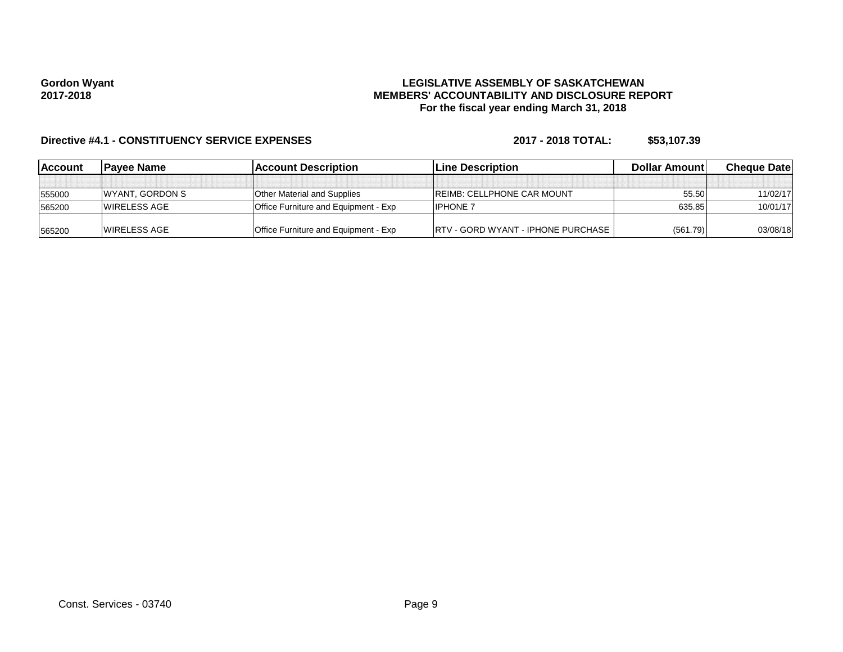#### **LEGISLATIVE ASSEMBLY OF SASKATCHEWAN MEMBERS' ACCOUNTABILITY AND DISCLOSURE REPORT For the fiscal year ending March 31, 2018**

| <b>IAccount</b> | <b>IPavee Name</b>      | <b>Account Description</b>                  | <b>ILine Description</b>                  | <b>Dollar Amountl</b> | <b>Cheque Datel</b> |
|-----------------|-------------------------|---------------------------------------------|-------------------------------------------|-----------------------|---------------------|
|                 |                         |                                             |                                           |                       |                     |
| 555000          | <b>IWYANT, GORDON S</b> | <b>Other Material and Supplies</b>          | <b>IREIMB: CELLPHONE CAR MOUNT</b>        | 55.50                 | 11/02/17            |
| 565200          | <b>IWIRELESS AGE</b>    | <b>Office Furniture and Equipment - Exp</b> | <b>IPHONE 7</b>                           | 635.85                | 10/01/17            |
| 565200          | <b>IWIRELESS AGE</b>    | <b>Office Furniture and Equipment - Exp</b> | <b>RTV - GORD WYANT - IPHONE PURCHASE</b> | (561.79)              | 03/08/18            |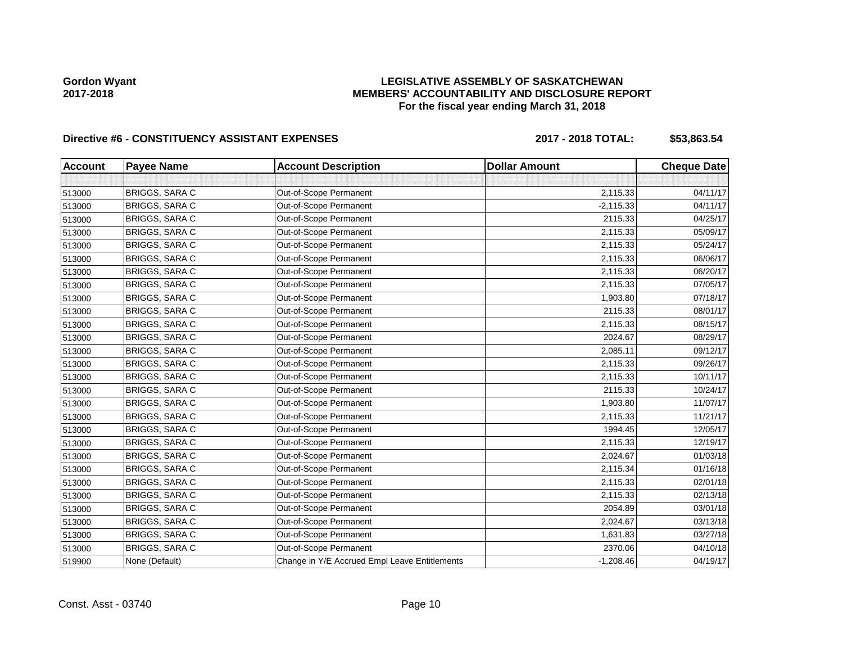### **LEGISLATIVE ASSEMBLY OF SASKATCHEWAN MEMBERS' ACCOUNTABILITY AND DISCLOSURE REPORT For the fiscal year ending March 31, 2018**

## Directive #6 - CONSTITUENCY ASSISTANT EXPENSES 2017 - 2018 TOTAL: \$53,863.54

| <b>Account</b> | <b>Payee Name</b>     | <b>Account Description</b>                    | <b>Dollar Amount</b> | <b>Cheque Date</b> |
|----------------|-----------------------|-----------------------------------------------|----------------------|--------------------|
|                |                       |                                               |                      |                    |
| 513000         | BRIGGS, SARA C        | Out-of-Scope Permanent                        | 2,115.33             | 04/11/17           |
| 513000         | <b>BRIGGS, SARA C</b> | Out-of-Scope Permanent                        | $-2,115.33$          | 04/11/17           |
| 513000         | BRIGGS, SARA C        | Out-of-Scope Permanent                        | 2115.33              | 04/25/17           |
| 513000         | <b>BRIGGS, SARA C</b> | Out-of-Scope Permanent                        | 2,115.33             | 05/09/17           |
| 513000         | BRIGGS, SARA C        | Out-of-Scope Permanent                        | 2,115.33             | 05/24/17           |
| 513000         | <b>BRIGGS, SARA C</b> | Out-of-Scope Permanent                        | 2,115.33             | 06/06/17           |
| 513000         | BRIGGS, SARA C        | Out-of-Scope Permanent                        | 2,115.33             | 06/20/17           |
| 513000         | <b>BRIGGS, SARA C</b> | Out-of-Scope Permanent                        | 2,115.33             | 07/05/17           |
| 513000         | <b>BRIGGS, SARA C</b> | Out-of-Scope Permanent                        | 1,903.80             | 07/18/17           |
| 513000         | <b>BRIGGS, SARA C</b> | Out-of-Scope Permanent                        | 2115.33              | 08/01/17           |
| 513000         | BRIGGS, SARA C        | Out-of-Scope Permanent                        | 2,115.33             | 08/15/17           |
| 513000         | <b>BRIGGS, SARA C</b> | Out-of-Scope Permanent                        | 2024.67              | 08/29/17           |
| 513000         | BRIGGS, SARA C        | Out-of-Scope Permanent                        | 2,085.11             | 09/12/17           |
| 513000         | BRIGGS, SARA C        | Out-of-Scope Permanent                        | 2,115.33             | 09/26/17           |
| 513000         | BRIGGS, SARA C        | Out-of-Scope Permanent                        | 2,115.33             | 10/11/17           |
| 513000         | BRIGGS, SARA C        | Out-of-Scope Permanent                        | 2115.33              | 10/24/17           |
| 513000         | BRIGGS, SARA C        | Out-of-Scope Permanent                        | 1,903.80             | 11/07/17           |
| 513000         | <b>BRIGGS, SARA C</b> | Out-of-Scope Permanent                        | 2,115.33             | 11/21/17           |
| 513000         | <b>BRIGGS, SARA C</b> | Out-of-Scope Permanent                        | 1994.45              | 12/05/17           |
| 513000         | <b>BRIGGS, SARA C</b> | Out-of-Scope Permanent                        | 2,115.33             | 12/19/17           |
| 513000         | <b>BRIGGS, SARA C</b> | Out-of-Scope Permanent                        | 2,024.67             | 01/03/18           |
| 513000         | BRIGGS, SARA C        | Out-of-Scope Permanent                        | 2,115.34             | 01/16/18           |
| 513000         | BRIGGS, SARA C        | Out-of-Scope Permanent                        | 2,115.33             | 02/01/18           |
| 513000         | BRIGGS, SARA C        | Out-of-Scope Permanent                        | 2,115.33             | 02/13/18           |
| 513000         | <b>BRIGGS, SARA C</b> | Out-of-Scope Permanent                        | 2054.89              | 03/01/18           |
| 513000         | <b>BRIGGS, SARA C</b> | Out-of-Scope Permanent                        | 2,024.67             | 03/13/18           |
| 513000         | BRIGGS, SARA C        | Out-of-Scope Permanent                        | 1,631.83             | 03/27/18           |
| 513000         | BRIGGS, SARA C        | Out-of-Scope Permanent                        | 2370.06              | 04/10/18           |
| 519900         | None (Default)        | Change in Y/E Accrued Empl Leave Entitlements | $-1,208.46$          | 04/19/17           |